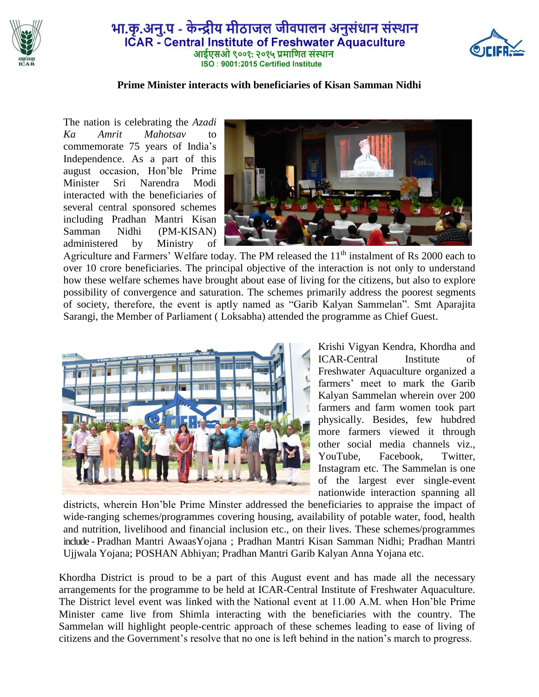

## भा.कृ.अनु.प - केन्द्रीय मीठाजल जीवपालन अनुसंधान संस्थान **ICAR** - Central Institute of Freshwater Aquaculture आईएसओ ९००१: २०१५ प्रमाणित संस्थान ISO: 9001:2015 Certified Institute



## **Prime Minister interacts with beneficiaries of Kisan Samman Nidhi**

The nation is celebrating the *Azadi Ka Amrit Mahotsav* to commemorate 75 years of India's Independence. As a part of this august occasion, Hon'ble Prime Minister Sri Narendra Modi interacted with the beneficiaries of several central sponsored schemes including Pradhan Mantri Kisan Samman Nidhi (PM-KISAN) administered by Ministry of



Agriculture and Farmers' Welfare today. The PM released the 11<sup>th</sup> instalment of Rs 2000 each to over 10 crore beneficiaries. The principal objective of the interaction is not only to understand how these welfare schemes have brought about ease of living for the citizens, but also to explore possibility of convergence and saturation. The schemes primarily address the poorest segments of society, therefore, the event is aptly named as "Garib Kalyan Sammelan". Smt Aparajita Sarangi, the Member of Parliament ( Loksabha) attended the programme as Chief Guest.



Krishi Vigyan Kendra, Khordha and ICAR-Central Institute of Freshwater Aquaculture organized a farmers' meet to mark the Garib Kalyan Sammelan wherein over 200 farmers and farm women took part physically. Besides, few hubdred more farmers viewed it through other social media channels viz., YouTube, Facebook, Twitter, Instagram etc. The Sammelan is one of the largest ever single-event nationwide interaction spanning all

districts, wherein Hon'ble Prime Minster addressed the beneficiaries to appraise the impact of wide-ranging schemes/programmes covering housing, availability of potable water, food, health and nutrition, livelihood and financial inclusion etc., on their lives. These schemes/programmes include - Pradhan Mantri AwaasYojana ; Pradhan Mantri Kisan Samman Nidhi; Pradhan Mantri Ujjwala Yojana; POSHAN Abhiyan; Pradhan Mantri Garib Kalyan Anna Yojana etc.

Khordha District is proud to be a part of this August event and has made all the necessary arrangements for the programme to be held at ICAR-Central Institute of Freshwater Aquaculture. The District level event was linked with the National event at 11.00 A.M. when Hon'ble Prime Minister came live from Shimla interacting with the beneficiaries with the country. The Sammelan will highlight people-centric approach of these schemes leading to ease of living of citizens and the Government's resolve that no one is left behind in the nation's march to progress.